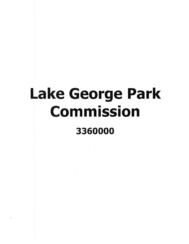## Lake George Park Commission 3360000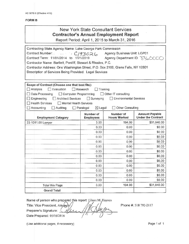## FORM **B**

## New York State Consultant Services **Contractor's Annual Employment Report**

Report Period: April 1,2015 to March 31,2016

| Contracting State Agency Name: Lake George Park Commission                      |                                                         |                               |                           |  |
|---------------------------------------------------------------------------------|---------------------------------------------------------|-------------------------------|---------------------------|--|
|                                                                                 | Contract Number: C/93026<br>Agency Business Unit: LGP01 |                               |                           |  |
| Contract Term: 11/01/2014 to 11/1/2019                                          | Agency Department ID: 33600                             |                               |                           |  |
| Contractor Name: Bartlett, Pontiff, Stewart & Rhodes, P.C.                      |                                                         |                               |                           |  |
| Contractor Address: One Washington Street, P.O. Box 2168, Glens Falls, NY 12801 |                                                         |                               |                           |  |
| Description of Services Being Provided: Legal Services                          |                                                         |                               |                           |  |
|                                                                                 |                                                         |                               |                           |  |
| Scope of Contract (Choose one that best fits):                                  |                                                         |                               |                           |  |
| Analysis<br>Evaluation                                                          | Research<br>Training                                    |                               |                           |  |
| Data Processing<br>Computer Programming                                         |                                                         | Other IT consulting           |                           |  |
| $\Box$ Engineering<br>Architect Services                                        | $\Box$ Surveying                                        | <b>Environmental Services</b> |                           |  |
| <b>Health Services</b><br>Mental Health Services                                |                                                         |                               |                           |  |
| Accounting<br>Auditing                                                          | $\boxtimes$ Legal<br>$\Box$ Paralegal                   | Other Consulting              |                           |  |
|                                                                                 | Number of                                               | Number of                     | <b>Amount Payable</b>     |  |
| <b>Employment Category</b>                                                      | <b>Employees</b>                                        | <b>Hours Worked</b>           | <b>Under the Contract</b> |  |
| 23-1011.00 Lawyer                                                               | 3.00                                                    | 194.00                        | \$31,040.00               |  |
|                                                                                 | 0.00                                                    | 0.00                          | \$0.00                    |  |
|                                                                                 | 0.00                                                    | 0.00                          | \$0.00                    |  |
|                                                                                 | 0.00                                                    | 0.00                          | \$0.00                    |  |
|                                                                                 | 0.00                                                    | 0.00                          | \$0.00                    |  |
|                                                                                 | 0.00                                                    | 0.00                          | \$0.00                    |  |
|                                                                                 | 0.00                                                    | 0.00                          | \$0.00                    |  |
|                                                                                 | 0.00                                                    | 0.00                          | \$0.00                    |  |
|                                                                                 | 0.00                                                    | 0.00                          | \$0.00                    |  |
|                                                                                 | 0.00                                                    | 0.00                          | \$0.00                    |  |
|                                                                                 | 0.00                                                    | 0.00                          | \$0.00                    |  |
|                                                                                 | 0.00                                                    | 0.00                          | \$0.00                    |  |
|                                                                                 | 0.00                                                    | 0.00                          | \$0.00                    |  |
| <b>Total this Page</b>                                                          | 3.00                                                    | 194.00                        | \$31,040.00               |  |
| <b>Grand Total</b>                                                              |                                                         |                               |                           |  |

Name of person who prepared this report: Eileen M. Haynes

Title: Vice President, Attorney Preparer's Signature: Date Prepared: 05/16/2016

Phone #: 518 792-2117

(Use additional pages, if necessary) example 2 and the Page 1 of 1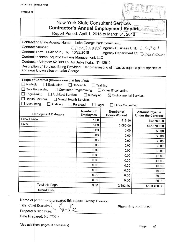| <b>FORM B</b>                                       | AC 3272-S (Effective 4/12)                                                                                                                                                                                                                                                                                                                                                               |                                                           |                                                                                                                                               |                                                    |
|-----------------------------------------------------|------------------------------------------------------------------------------------------------------------------------------------------------------------------------------------------------------------------------------------------------------------------------------------------------------------------------------------------------------------------------------------------|-----------------------------------------------------------|-----------------------------------------------------------------------------------------------------------------------------------------------|----------------------------------------------------|
|                                                     |                                                                                                                                                                                                                                                                                                                                                                                          |                                                           | New York State Consultant Services<br><b>Contractor's Annual Employment Report: PARK CI</b><br>Report Period: April 1, 2015 to March 31, 2016 | ∆pp g                                              |
|                                                     | Contracting State Agency Name: Lake George Park Commission<br><b>Contract Number:</b><br>Contract Term: 06/01/2015 to 10/22/2015<br>Contractor Name: Aquatic Invasive Management, LLC<br>Contractor Address: 52 Burt Ln. Au Sable Forks, NY 12912<br>Description of Services Being Provided: Hand-harvesting of invasive aquatic plant species at<br>and near known sites on Lake George |                                                           | $\mathcal{C}$ 201512345 Agency Business Unit: $\mathcal{L}$ G $\beta$ 0)                                                                      | Agency Department ID: 336 0000                     |
| Analysis<br>$\Box$ Engineering<br>$\Box$ Accounting | Scope of Contract (Choose one that best fits):<br>$\Box$ Evaluation<br>Data Processing<br>Computer Programming<br><b>Architect Services</b><br>Health Services<br>Mental Health Services<br>Auditing                                                                                                                                                                                     | $\Box$ Research<br>Surveying<br>Paralegal<br>$\Box$ Legal | Training<br>Other IT consulting<br>$\boxtimes$ Environmental Services<br><b>Other Consulting</b>                                              |                                                    |
|                                                     | <b>Employment Category</b>                                                                                                                                                                                                                                                                                                                                                               | Number of<br><b>Employees</b>                             | Number of<br><b>Hours Worked</b>                                                                                                              | <b>Amount Payable</b><br><b>Under the Contract</b> |
| <b>Crew Leader</b>                                  |                                                                                                                                                                                                                                                                                                                                                                                          | 1.00                                                      | 813.50                                                                                                                                        | \$50,700.00                                        |
| Diver                                               |                                                                                                                                                                                                                                                                                                                                                                                          | 5.00                                                      | 2,080.00                                                                                                                                      | \$129,700.00                                       |
|                                                     |                                                                                                                                                                                                                                                                                                                                                                                          | 0.00                                                      | 0.00                                                                                                                                          | \$0.00                                             |
|                                                     |                                                                                                                                                                                                                                                                                                                                                                                          | 0.00                                                      | 0.00                                                                                                                                          | \$0.00                                             |
|                                                     |                                                                                                                                                                                                                                                                                                                                                                                          | 0.00                                                      | 0.00                                                                                                                                          | \$0.00                                             |
|                                                     |                                                                                                                                                                                                                                                                                                                                                                                          | 0.00                                                      | 0.00                                                                                                                                          | \$0.00                                             |
|                                                     |                                                                                                                                                                                                                                                                                                                                                                                          | 0.00                                                      | 0.00                                                                                                                                          | \$0.00                                             |
|                                                     |                                                                                                                                                                                                                                                                                                                                                                                          | 0.00                                                      | 0.00                                                                                                                                          | \$0.00                                             |
|                                                     |                                                                                                                                                                                                                                                                                                                                                                                          | 0.00                                                      | 0.00                                                                                                                                          | \$0.00                                             |
|                                                     |                                                                                                                                                                                                                                                                                                                                                                                          | 0.00                                                      | 0.00                                                                                                                                          | \$0.00                                             |
|                                                     |                                                                                                                                                                                                                                                                                                                                                                                          | 0.00                                                      | 0.00                                                                                                                                          | \$0.00                                             |
|                                                     |                                                                                                                                                                                                                                                                                                                                                                                          | 0.00                                                      | 0.00                                                                                                                                          | \$0.00                                             |
|                                                     |                                                                                                                                                                                                                                                                                                                                                                                          | 0.00                                                      | 0.00                                                                                                                                          | \$0.00                                             |
|                                                     | <b>Total this Page</b>                                                                                                                                                                                                                                                                                                                                                                   | 6.00                                                      | 2,893.50                                                                                                                                      | \$180,400.00                                       |
|                                                     | <b>Grand Total</b>                                                                                                                                                                                                                                                                                                                                                                       |                                                           |                                                                                                                                               |                                                    |

Name of person who prepared this report: Tommy Thomson Title: Chief Executive

 $\mathcal{O}$ 

Phone #: 518-637-8350

Preparer's Signature:

Date Prepared: 04/17/2016

(Use additional pages, if necessary)

Page of